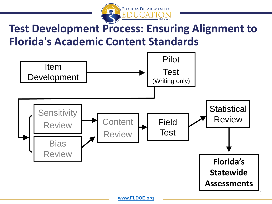

## **Test Development Process: Ensuring Alignment to Florida's Academic Content Standards**

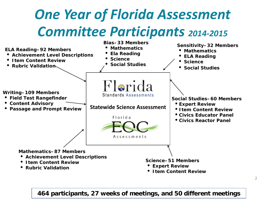## *One Year of Florida Assessment Committee Participants 2014-2015*



**464 participants, 27 weeks of meetings, and 50 different meetings**

2